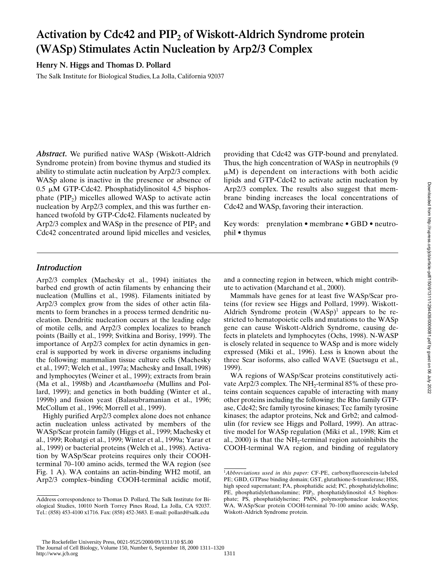# Activation by Cdc42 and PIP<sub>2</sub> of Wiskott-Aldrich Syndrome protein **(WASp) Stimulates Actin Nucleation by Arp2/3 Complex**

**Henry N. Higgs and Thomas D. Pollard**

The Salk Institute for Biological Studies, La Jolla, California 92037

*Abstract.* We purified native WASp (Wiskott-Aldrich Syndrome protein) from bovine thymus and studied its ability to stimulate actin nucleation by Arp2/3 complex. WASp alone is inactive in the presence or absence of  $0.5 \mu M$  GTP-Cdc42. Phosphatidylinositol 4,5 bisphosphate  $(PIP<sub>2</sub>)$  micelles allowed WASp to activate actin nucleation by Arp2/3 complex, and this was further enhanced twofold by GTP-Cdc42. Filaments nucleated by Arp2/3 complex and WASp in the presence of  $PIP<sub>2</sub>$  and Cdc42 concentrated around lipid micelles and vesicles, providing that Cdc42 was GTP-bound and prenylated. Thus, the high concentration of WASp in neutrophils (9  $\mu$ M) is dependent on interactions with both acidic lipids and GTP-Cdc42 to activate actin nucleation by Arp2/3 complex. The results also suggest that membrane binding increases the local concentrations of Cdc42 and WASp, favoring their interaction.

Key words: prenylation • membrane • GBD • neutrophil • thymus

# *Introduction*

Arp2/3 complex (Machesky et al., 1994) initiates the barbed end growth of actin filaments by enhancing their nucleation (Mullins et al., 1998). Filaments initiated by Arp2/3 complex grow from the sides of other actin filaments to form branches in a process termed dendritic nucleation. Dendritic nucleation occurs at the leading edge of motile cells, and Arp2/3 complex localizes to branch points (Bailly et al., 1999; Svitkina and Borisy, 1999). The importance of Arp2/3 complex for actin dynamics in general is supported by work in diverse organisms including the following: mammalian tissue culture cells (Machesky et al., 1997; Welch et al., 1997a; Machesky and Insall, 1998) and lymphocytes (Weiner et al., 1999); extracts from brain (Ma et al., 1998b) and *Acanthamoeba* (Mullins and Pollard, 1999); and genetics in both budding (Winter et al., 1999b) and fission yeast (Balasubramanian et al., 1996; McCollum et al., 1996; Morrell et al., 1999).

Highly purified Arp2/3 complex alone does not enhance actin nucleation unless activated by members of the WASp/Scar protein family (Higgs et al., 1999; Machesky et al., 1999; Rohatgi et al., 1999; Winter et al., 1999a; Yarar et al., 1999) or bacterial proteins (Welch et al., 1998). Activation by WASp/Scar proteins requires only their COOHterminal 70–100 amino acids, termed the WA region (see Fig. 1 A). WA contains an actin-binding WH2 motif, an Arp2/3 complex–binding COOH-terminal acidic motif, and a connecting region in between, which might contribute to activation (Marchand et al., 2000).

Mammals have genes for at least five WASp/Scar proteins (for review see Higgs and Pollard, 1999). Wiskott-Aldrich Syndrome protein  $(WASp)^1$  appears to be restricted to hematopoietic cells and mutations to the WASp gene can cause Wiskott-Aldrich Syndrome, causing defects in platelets and lymphocytes (Ochs, 1998). N-WASP is closely related in sequence to WASp and is more widely expressed (Miki et al., 1996). Less is known about the three Scar isoforms, also called WAVE (Suetsugu et al., 1999).

WA regions of WASp/Scar proteins constitutively activate Arp2/3 complex. The NH<sub>2</sub>-terminal  $85\%$  of these proteins contain sequences capable of interacting with many other proteins including the following: the Rho family GTPase, Cdc42; Src family tyrosine kinases; Tec family tyrosine kinases; the adaptor proteins, Nck and Grb2; and calmodulin (for review see Higgs and Pollard, 1999). An attractive model for WASp regulation (Miki et al., 1998; Kim et al.,  $2000$ ) is that the NH<sub>2</sub>-terminal region autoinhibits the COOH-terminal WA region, and binding of regulatory

Address correspondence to Thomas D. Pollard, The Salk Institute for Biological Studies, 10010 North Torrey Pines Road, La Jolla, CA 92037. Tel.: (858) 453-4100 x1716. Fax: (858) 452-3683. E-mail: pollard@salk.edu

<sup>1</sup> *Abbreviations used in this paper:* CF-PE, carboxyfluorescein-labeled PE; GBD, GTPase binding domain; GST, glutathione-S-transferase; HSS, high speed supernatant; PA, phosphatidic acid; PC, phosphatidylcholine; PE, phosphatidylethanolamine; PIP<sub>2</sub>, phosphatidylinositol 4,5 bisphosphate; PS, phosphatidylserine; PMN, polymorphonuclear leukocytes; WA, WASp/Scar protein COOH-terminal 70–100 amino acids; WASp, Wiskott-Aldrich Syndrome protein.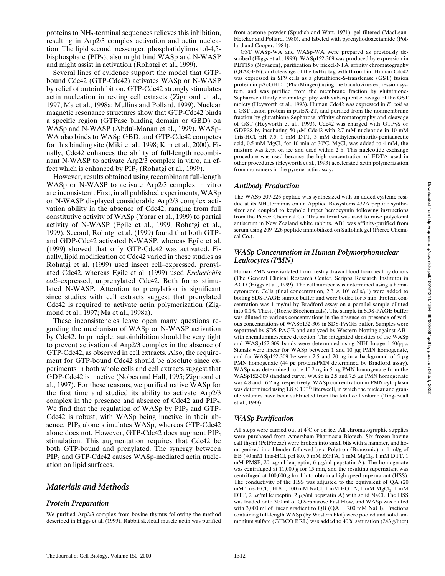proteins to NH<sub>2</sub>-terminal sequences relieves this inhibition, resulting in Arp2/3 complex activation and actin nucleation. The lipid second messenger, phosphatidylinositol-4,5 bisphosphate ( $PIP<sub>2</sub>$ ), also might bind WASp and N-WASP and might assist in activation (Rohatgi et al., 1999).

Several lines of evidence support the model that GTPbound Cdc42 (GTP-Cdc42) activates WASp or N-WASP by relief of autoinhibition. GTP-Cdc42 strongly stimulates actin nucleation in resting cell extracts (Zigmond et al., 1997; Ma et al., 1998a; Mullins and Pollard, 1999). Nuclear magnetic resonance structures show that GTP-Cdc42 binds a specific region (GTPase binding domain or GBD) on WASp and N-WASP (Abdul-Manan et al., 1999). WASp-WA also binds to WASp GBD, and GTP-Cdc42 competes for this binding site (Miki et al., 1998; Kim et al., 2000). Finally, Cdc42 enhances the ability of full-length recombinant N-WASP to activate Arp2/3 complex in vitro, an effect which is enhanced by  $\text{PIP}_2$  (Rohatgi et al., 1999).

However, results obtained using recombinant full-length WASp or N-WASP to activate Arp2/3 complex in vitro are inconsistent. First, in all published experiments, WASp or N-WASP displayed considerable Arp2/3 complex activation ability in the absence of Cdc42, ranging from full constitutive activity of WASp (Yarar et al., 1999) to partial activity of N-WASP (Egile et al., 1999; Rohatgi et al., 1999). Second, Rohatgi et al. (1999) found that both GTPand GDP-Cdc42 activated N-WASP, whereas Egile et al. (1999) showed that only GTP-Cdc42 was activated. Finally, lipid modification of Cdc42 varied in these studies as Rohatgi et al. (1999) used insect cell–expressed, prenylated Cdc42, whereas Egile et al. (1999) used *Escherichia coli*–expressed, unprenylated Cdc42. Both forms stimulated N-WASP. Attention to prenylation is significant since studies with cell extracts suggest that prenylated Cdc42 is required to activate actin polymerization (Zigmond et al., 1997; Ma et al., 1998a).

These inconsistencies leave open many questions regarding the mechanism of WASp or N-WASP activation by Cdc42. In principle, autoinhibition should be very tight to prevent activation of Arp2/3 complex in the absence of GTP-Cdc42, as observed in cell extracts. Also, the requirement for GTP-bound Cdc42 should be absolute since experiments in both whole cells and cell extracts suggest that GDP-Cdc42 is inactive (Nobes and Hall, 1995; Zigmond et al., 1997). For these reasons, we purified native WASp for the first time and studied its ability to activate Arp2/3 complex in the presence and absence of  $Cdc42$  and  $PIP<sub>2</sub>$ . We find that the regulation of WASp by  $PIP<sub>2</sub>$  and GTP-Cdc42 is robust, with WASp being inactive in their absence.  $PIP_2$  alone stimulates WASp, whereas GTP-Cdc42 alone does not. However, GTP-Cdc42 does augment PIP<sub>2</sub> stimulation. This augmentation requires that Cdc42 be both GTP-bound and prenylated. The synergy between PIP<sub>2</sub> and GTP-Cdc42 causes WASp-mediated actin nucleation on lipid surfaces.

# *Materials and Methods*

## *Protein Preparation*

We purified Arp2/3 complex from bovine thymus following the method described in Higgs et al. (1999). Rabbit skeletal muscle actin was purified from acetone powder (Spudich and Watt, 1971), gel filtered (MacLean-Fletcher and Pollard, 1980), and labeled with pyrenyliodoacetamide (Pollard and Cooper, 1984).

GST WASp-WA and WASp-WA were prepared as previously described (Higgs et al., 1999). WASp152-309 was produced by expression in PET15b (Novagen), purification by nickel-NTA affinity chromatography (QIAGEN), and cleavage of the 6xHis tag with thrombin. Human Cdc42 was expressed in SF9 cells as a glutathione-S-transferase (GST) fusion protein in pAcGHLT (PharMingen) using the baculovirus expression system, and was purified from the membrane fraction by glutathione-Sepharose affinity chromatography with subsequent cleavage of the GST moiety (Heyworth et al., 1993). Human Cdc42 was expressed in *E. coli* as a GST fusion protein in pGEX-2T, and purified from the nonmembrane fraction by glutathione-Sepharose affinity chromatography and cleavage of GST (Heyworth et al., 1993). Cdc42 was charged with GTPgS or GDP $\beta$ S by incubating 50  $\mu$ M Cdc42 with 2.7 mM nucleotide in 10 mM Tris-HCl, pH 7.5, 1 mM DTT, 3 mM diethylenetrinitrilo-pentaaacetic acid,  $0.5$  mM  $MgCl<sub>2</sub>$  for 10 min at 30°C.  $MgCl<sub>2</sub>$  was added to 4 mM, the mixture was kept on ice and used within 2 h. This nucleotide exchange procedure was used because the high concentration of EDTA used in other procedures (Heyworth et al., 1993) accelerated actin polymerization from monomers in the pyrene-actin assay.

## *Antibody Production*

The WASp 209-226 peptide was synthesized with an added cysteine residue at its NH<sub>2</sub> terminus on an Applied Biosystems 432A peptide synthesizer and coupled to keyhole limpet hemocyanin following instructions from the Pierce Chemical Co. This material was used to raise polyclonal antiserum in New Zealand white rabbits. AB1 was affinity-purified from serum using 209–226 peptide immobilized on Sulfolink gel (Pierce Chemical Co.).

# *WASp Concentration in Human Polymorphonuclear Leukocytes (PMN)*

Human PMN were isolated from freshly drawn blood from healthy donors (The General Clinical Research Center, Scripps Research Institute) in ACD (Higgs et al., 1999). The cell number was determined using a hemacytometer. Cells (final concentration,  $2.3 \times 10^4$  cells/ $\mu$ l) were added to boiling SDS-PAGE sample buffer and were boiled for 5 min. Protein concentration was 1 mg/ml by Bradford assay on a parallel sample diluted into 0.1% Thesit (Roche Biochemicals). The sample in SDS-PAGE buffer was diluted to various concentrations in the absence or presence of various concentrations of WASp152-309 in SDS-PAGE buffer. Samples were separated by SDS-PAGE and analyzed by Western blotting against AB1 with chemiluminescence detection. The integrated densities of the WASp and WASp152-309 bands were determined using NIH Image 1.60/ppc. Signals were linear for WASp between 1 and 10  $\mu$ g PMN homogenate, and for WASp152-309 between 2.5 and 20 ng in a background of 5  $\mu$ g PMN homogenate (44 pg protein/PMN determined by Bradford assay). WASp was determined to be 10.2 ng in 5  $\mu$ g PMN homogenate from the WASp152-309 standard curve. WASp in 2.5 and 7.5 µg PMN homogenate was 4.8 and 16.2 ng, respectively. WASp concentration in PMN cytoplasm was determined using  $1.8 \times 10^{-13}$  liters/cell, in which the nuclear and granule volumes have been subtracted from the total cell volume (Ting-Beall et al., 1993).

# *WASp Purification*

All steps were carried out at  $4^{\circ}$ C or on ice. All chromatographic supplies were purchased from Amersham Pharmacia Biotech. Six frozen bovine calf thymi (PelFreeze) were broken into small bits with a hammer, and homogenized in a blender followed by a Polytron (Bransonic) in 1 ml/g of EB (40 mM Tris-HCl, pH 8.0, 5 mM EGTA, 1 mM MgCl<sub>2</sub>, 1 mM DTT, 1 mM PMSF, 20  $\mu$ g/ml leupeptin, 6  $\mu$ g/ml pepstatin A). The homogenate was centrifuged at 11,000 *g* for 15 min, and the resulting supernatant was centrifuged at 100,000 *g* for 1 h to obtain a high speed supernatant (HSS). The conductivity of the HSS was adjusted to the equivalent of QA (20 mM Tris-HCl, pH 8.0, 100 mM NaCl, 1 mM EGTA, 1 mM MgCl<sub>2</sub>, 1 mM DTT, 2  $\mu$ g/ml leupeptin, 2  $\mu$ g/ml pepstatin A) with solid NaCl. The HSS was loaded onto 300 ml of Q Sepharose Fast Flow, and WASp was eluted with 3,000 ml of linear gradient to QB ( $QA + 200$  mM NaCl). Fractions containing full-length WASp (by Western blot) were pooled and solid ammonium sulfate (GIBCO BRL) was added to 40% saturation (243 g/liter)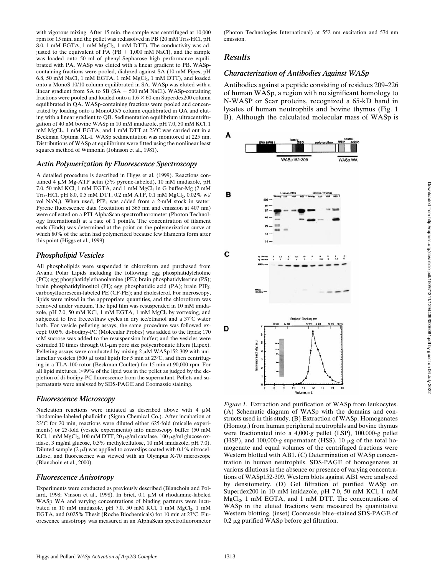with vigorous mixing. After 15 min, the sample was centrifuged at 10,000 rpm for 15 min, and the pellet was redissolved in PB (20 mM Tris-HCl, pH 8.0, 1 mM EGTA, 1 mM  $MgCl<sub>2</sub>$ , 1 mM DTT). The conductivity was adjusted to the equivalent of PA (PB  $+$  1,000 mM NaCl), and the sample was loaded onto 50 ml of phenyl-Sepharose high performance equilibrated with PA. WASp was eluted with a linear gradient to PB. WASpcontaining fractions were pooled, dialyzed against SA (10 mM Pipes, pH 6.8, 50 mM NaCl, 1 mM EGTA, 1 mM  $MgCl<sub>2</sub>$ , 1 mM DTT), and loaded onto a MonoS 10/10 column equilibrated in SA. WASp was eluted with a linear gradient from SA to SB (SA  $+$  500 mM NaCl). WASp-containing fractions were pooled and loaded onto a  $1.6 \times 60$ -cm Superdex200 column equilibrated in QA. WASp-containing fractions were pooled and concentrated by loading onto a MonoQ5/5 column equilibrated in QA and eluting with a linear gradient to QB. Sedimentation equilibrium ultracentrifugation of 40 nM bovine WASp in 10 mM imidazole, pH 7.0, 50 mM KCl, 1 mM MgCl<sub>2</sub>, 1 mM EGTA, and 1 mM DTT at 23°C was carried out in a Beckman Optima XL-I. WASp sedimentation was monitored at 225 nm. Distributions of WASp at equilibrium were fitted using the nonlinear least squares method of Winnonln (Johnson et al., 1981).

#### *Actin Polymerization by Fluorescence Spectroscopy*

A detailed procedure is described in Higgs et al. (1999). Reactions contained 4  $\mu$ M Mg-ATP actin (5% pyrene-labeled), 10 mM imidazole, pH 7.0, 50 mM KCl, 1 mM EGTA, and 1 mM  $MgCl<sub>2</sub>$  in G buffer-Mg (2 mM Tris-HCl, pH 8.0, 0.5 mM DTT, 0.2 mM ATP, 0.1 mM MgCl<sub>2</sub>, 0.02% wt/ vol NaN<sub>3</sub>). When used,  $\text{PIP}_2$  was added from a 2-mM stock in water. Pyrene fluorescence data (excitation at 365 nm and emission at 407 nm) were collected on a PTI AlphaScan spectrofluorometer (Photon Technology International) at a rate of 1 point/s. The concentration of filament ends (Ends) was determined at the point on the polymerization curve at which 80% of the actin had polymerized because few filaments form after this point (Higgs et al., 1999).

#### *Phospholipid Vesicles*

All phospholipids were suspended in chloroform and purchased from Avanti Polar Lipids including the following: egg phosphatidylcholine (PC); egg phosphatidylethanolamine (PE); brain phosphatidylserine (PS); brain phosphatidylinositol (PI); egg phosphatidic acid (PA); brain  $PIP_2$ ; carboxyfluorescein-labeled PE (CF-PE); and cholesterol. For microscopy, lipids were mixed in the appropriate quantities, and the chloroform was removed under vacuum. The lipid film was resuspended in 10 mM imidazole, pH 7.0, 50 mM KCl, 1 mM EGTA, 1 mM  $MgCl<sub>2</sub>$  by vortexing, and subjected to five freeze/thaw cycles in dry ice/ethanol and a  $37^{\circ}$ C water bath. For vesicle pelleting assays, the same procedure was followed except: 0.05% di-bodipy-PC (Molecular Probes) was added to the lipids; 170 mM sucrose was added to the resuspension buffer; and the vesicles were extruded 10 times through 0.1-µm pore size polycarbonate filters (Lipex). Pelleting assays were conducted by mixing  $2 \mu M$  WASp152-309 with unilamellar vesicles (500  $\mu$ l total lipid) for 5 min at 23°C, and then centrifuging in a TLA-100 rotor (Beckman Coulter) for 15 min at 90,000 rpm. For all lipid mixtures,  $>99\%$  of the lipid was in the pellet as judged by the depletion of di-bodipy-PC fluorescence from the supernatant. Pellets and supernatants were analyzed by SDS-PAGE and Coomassie staining.

#### *Fluorescence Microscopy*

Nucleation reactions were initiated as described above with 4  $\mu$ M rhodamine-labeled phalloidin (Sigma Chemical Co.). After incubation at  $23^{\circ}$ C for 20 min, reactions were diluted either 625-fold (micelle experiments) or 25-fold (vesicle experiments) into microscopy buffer (50 mM KCl, 1 mM MgCl<sub>2</sub>, 100 mM DTT, 20  $\mu$ g/ml catalase, 100  $\mu$ g/ml glucose oxidase, 3 mg/ml glucose, 0.5% methylcellulose, 10 mM imidazole, pH 7.0). Diluted sample  $(2 \mu l)$  was applied to coverslips coated with 0.1% nitrocellulose, and fluorescence was viewed with an Olympus X-70 microscope (Blanchoin et al., 2000).

#### *Fluorescence Anisotropy*

Experiments were conducted as previously described (Blanchoin and Pollard, 1998; Vinson et al., 1998). In brief,  $0.1 \mu M$  of rhodamine-labeled WASp WA and varying concentrations of binding partners were incubated in 10 mM imidazole, pH 7.0, 50 mM KCl, 1 mM  $MgCl<sub>2</sub>$ , 1 mM EGTA, and 0.025% Thesit (Roche Biochemicals) for 10 min at 23°C. Fluorescence anisotropy was measured in an AlphaScan spectrofluorometer

(Photon Technologies International) at 552 nm excitation and 574 nm emission.

#### *Results*

#### *Characterization of Antibodies Against WASp*

Antibodies against a peptide consisting of residues 209–226 of human WASp, a region with no significant homology to N-WASP or Scar proteins, recognized a 65-kD band in lysates of human neutrophils and bovine thymus (Fig. 1 B). Although the calculated molecular mass of WASp is



*Figure 1.* Extraction and purification of WASp from leukocytes. (A) Schematic diagram of WASp with the domains and constructs used in this study. (B) Extraction of WASp. Homogenates (Homog.) from human peripheral neutrophils and bovine thymus were fractionated into a 4,000*-g* pellet (LSP), 100,000*-g* pellet (HSP), and 100,000*-g* supernatant (HSS). 10 mg of the total homogenate and equal volumes of the centrifuged fractions were Western blotted with AB1. (C) Determination of WASp concentration in human neutrophils. SDS-PAGE of homogenates at various dilutions in the absence or presence of varying concentrations of WASp152-309. Western blots against AB1 were analyzed by densitometry. (D) Gel filtration of purified WASp on Superdex200 in 10 mM imidazole, pH 7.0, 50 mM KCl, 1 mM  $MgCl<sub>2</sub>$ , 1 mM EGTA, and 1 mM DTT. The concentrations of WASp in the eluted fractions were measured by quantitative Western blotting. (inset) Coomassie blue–stained SDS-PAGE of  $0.2 \mu$ g purified WASp before gel filtration.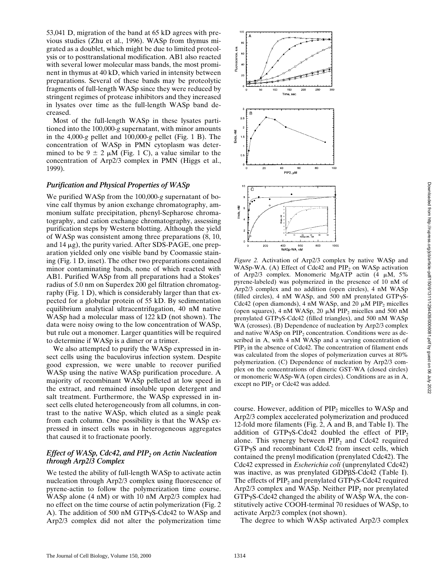53,041 D, migration of the band at 65 kD agrees with previous studies (Zhu et al., 1996). WASp from thymus migrated as a doublet, which might be due to limited proteolysis or to posttranslational modification. AB1 also reacted with several lower molecular mass bands, the most prominent in thymus at 40 kD, which varied in intensity between preparations. Several of these bands may be proteolytic fragments of full-length WASp since they were reduced by stringent regimes of protease inhibitors and they increased in lysates over time as the full-length WASp band decreased.

Most of the full-length WASp in these lysates partitioned into the 100,000*-g* supernatant, with minor amounts in the 4,000*-g* pellet and 100,000*-g* pellet (Fig. 1 B). The concentration of WASp in PMN cytoplasm was determined to be  $9 \pm 2 \mu M$  (Fig. 1 C), a value similar to the concentration of Arp2/3 complex in PMN (Higgs et al., 1999).

## *Purification and Physical Properties of WASp*

We purified WASp from the 100,000*-g* supernatant of bovine calf thymus by anion exchange chromatography, ammonium sulfate precipitation, phenyl-Sepharose chromatography, and cation exchange chromatography, assessing purification steps by Western blotting. Although the yield of WASp was consistent among three preparations (8, 10, and  $14 \mu$ g), the purity varied. After SDS-PAGE, one preparation yielded only one visible band by Coomassie staining (Fig. 1 D, inset). The other two preparations contained minor contaminating bands, none of which reacted with AB1. Purified WASp from all preparations had a Stokes' radius of 5.0 nm on Superdex 200 gel filtration chromatography (Fig. 1 D), which is considerably larger than that expected for a globular protein of 55 kD. By sedimentation equilibrium analytical ultracentrifugation, 40 nM native WASp had a molecular mass of 122 kD (not shown). The data were noisy owing to the low concentration of WASp, but rule out a monomer. Larger quantities will be required to determine if WASp is a dimer or a trimer.

We also attempted to purify the WASp expressed in insect cells using the baculovirus infection system. Despite good expression, we were unable to recover purified WASp using the native WASp purification procedure. A majority of recombinant WASp pelleted at low speed in the extract, and remained insoluble upon detergent and salt treatment. Furthermore, the WASp expressed in insect cells eluted heterogeneously from all columns, in contrast to the native WASp, which eluted as a single peak from each column. One possibility is that the WASp expressed in insect cells was in heterogeneous aggregates that caused it to fractionate poorly.

#### *Effect of WASp, Cdc42, and PIP<sub>2</sub> on Actin Nucleation through Arp2/3 Complex*

We tested the ability of full-length WASp to activate actin nucleation through Arp2/3 complex using fluorescence of pyrene-actin to follow the polymerization time course. WASp alone (4 nM) or with 10 nM Arp2/3 complex had no effect on the time course of actin polymerization (Fig. 2 A). The addition of 500 nM GTP $\gamma$ S-Cdc42 to WASp and Arp2/3 complex did not alter the polymerization time



*Figure 2.* Activation of Arp2/3 complex by native WASp and WASp-WA. (A) Effect of Cdc42 and  $PIP<sub>2</sub>$  on WASp activation of Arp2/3 complex. Monomeric MgATP actin  $(4 \mu M, 5\%)$ pyrene-labeled) was polymerized in the presence of 10 nM of Arp2/3 complex and no addition (open circles), 4 nM WASp (filled circles), 4 nM WASp, and 500 nM prenylated  $GTP\gamma S$ -Cdc42 (open diamonds), 4 nM WASp, and 20  $\mu$ M PIP<sub>2</sub> micelles (open squares), 4 nM WASp, 20  $\mu$ M PIP<sub>2</sub> micelles and 500 nM prenylated GTP $\gamma$ S-Cdc42 (filled triangles), and 500 nM WASp WA (crosses). (B) Dependence of nucleation by Arp2/3 complex and native WASp on  $\text{PIP}_2$  concentration. Conditions were as described in A, with 4 nM WASp and a varying concentration of  $PIP<sub>2</sub>$  in the absence of Cdc42. The concentration of filament ends was calculated from the slopes of polymerization curves at 80% polymerization. (C) Dependence of nucleation by Arp2/3 complex on the concentrations of dimeric GST-WA (closed circles) or monomeric WASp-WA (open circles). Conditions are as in A, except no  $\text{PIP}_2$  or Cdc42 was added.

course. However, addition of  $PIP<sub>2</sub>$  micelles to WASp and Arp2/3 complex accelerated polymerization and produced 12-fold more filaments (Fig. 2, A and B, and Table I). The addition of GTP $\gamma$ S-Cdc42 doubled the effect of PIP<sub>2</sub> alone. This synergy between  $PIP<sub>2</sub>$  and Cdc42 required  $GTP\gamma S$  and recombinant Cdc42 from insect cells, which contained the prenyl modification (prenylated Cdc42). The Cdc42 expressed in *Escherichia coli* (unprenylated Cdc42) was inactive, as was prenylated GDPBS-Cdc42 (Table I). The effects of  $PIP_2$  and prenylated GTP $\gamma$ S-Cdc42 required Arp2/3 complex and WASp. Neither  $PIP_2$  nor prenylated  $GTP\gamma S- Cdc42$  changed the ability of WASp WA, the constitutively active COOH-terminal 70 residues of WASp, to activate Arp2/3 complex (not shown).

The degree to which WASp activated Arp2/3 complex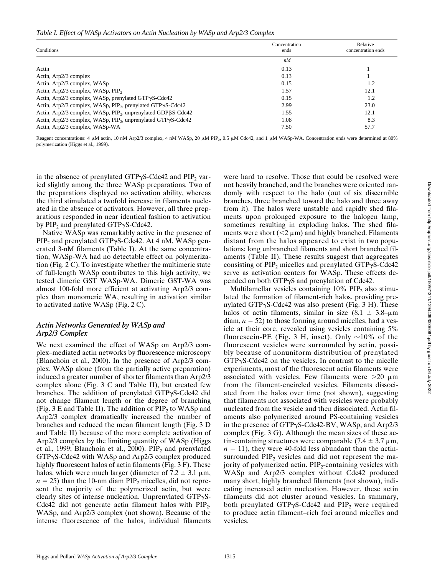#### *Table I. Effect of WASp Activators on Actin Nucleation by WASp and Arp2/3 Complex*

| Conditions                                                               | Concentration<br>ends | Relative<br>concentration ends |  |
|--------------------------------------------------------------------------|-----------------------|--------------------------------|--|
|                                                                          | nM                    |                                |  |
| Actin                                                                    | 0.13                  |                                |  |
| Actin, Arp2/3 complex                                                    | 0.13                  |                                |  |
| Actin, Arp2/3 complex, WASp                                              | 0.15                  | 1.2                            |  |
| Actin, Arp2/3 complex, WASp, PIP <sub>2</sub>                            | 1.57                  | 12.1                           |  |
| Actin, Arp $2/3$ complex, WASp, prenylated GTP $\gamma$ S-Cdc42          | 0.15                  | 1.2                            |  |
| Actin, Arp2/3 complex, WASp, PIP <sub>2</sub> , prenylated GTPyS-Cdc42   | 2.99                  | 23.0                           |  |
| Actin, Arp2/3 complex, WASp, PIP <sub>2</sub> , unprenylated GDPßS-Cdc42 | 1.55                  | 12.1                           |  |
| Actin, Arp2/3 complex, WASp, PIP <sub>2</sub> , unprenylated GTPyS-Cdc42 | 1.08                  | 8.3                            |  |
| Actin, Arp2/3 complex, WASp-WA                                           | 7.50                  | 57.7                           |  |

Reagent concentrations: 4  $\mu$ M actin, 10 nM Arp2/3 complex, 4 nM WASp, 20  $\mu$ M PIP<sub>2</sub>, 0.5  $\mu$ M Cdc42, and 1  $\mu$ M WASp-WA. Concentration ends were determined at 80% polymerization (Higgs et al., 1999).

in the absence of prenylated GTP $\gamma$ S-Cdc42 and PIP<sub>2</sub> varied slightly among the three WASp preparations. Two of the preparations displayed no activation ability, whereas the third stimulated a twofold increase in filaments nucleated in the absence of activators. However, all three preparations responded in near identical fashion to activation by  $PIP_2$  and prenylated GTP $\gamma$ S-Cdc42.

Native WASp was remarkably active in the presence of  $PIP<sub>2</sub>$  and prenylated GTP $\gamma$ S-Cdc42. At 4 nM, WASp generated 3-nM filaments (Table I). At the same concentration, WASp-WA had no detectable effect on polymerization (Fig. 2 C). To investigate whether the multimeric state of full-length WASp contributes to this high activity, we tested dimeric GST WASp-WA. Dimeric GST-WA was almost 100-fold more efficient at activating Arp2/3 complex than monomeric WA, resulting in activation similar to activated native WASp (Fig. 2 C).

#### *Actin Networks Generated by WASp and Arp2/3 Complex*

We next examined the effect of WASp on Arp2/3 complex–mediated actin networks by fluorescence microscopy (Blanchoin et al., 2000). In the presence of Arp2/3 complex, WASp alone (from the partially active preparation) induced a greater number of shorter filaments than Arp2/3 complex alone (Fig. 3 C and Table II), but created few branches. The addition of prenylated  $GTP\gamma S- Cdc42$  did not change filament length or the degree of branching (Fig. 3 E and Table II). The addition of  $PIP<sub>2</sub>$  to WASp and Arp2/3 complex dramatically increased the number of branches and reduced the mean filament length (Fig. 3 D and Table II) because of the more complete activation of Arp2/3 complex by the limiting quantity of WASp (Higgs et al., 1999; Blanchoin et al., 2000).  $PIP<sub>2</sub>$  and prenylated  $GTP\gamma S- Cdc42$  with WASp and Arp2/3 complex produced highly fluorescent halos of actin filaments (Fig. 3 F). These halos, which were much larger (diameter of  $7.2 \pm 3.1 \text{ }\mu\text{m}$ ,  $n = 25$ ) than the 10-nm diam PIP<sub>2</sub> micelles, did not represent the majority of the polymerized actin, but were clearly sites of intense nucleation. Unprenylated  $GTP\gamma S$ -Cdc42 did not generate actin filament halos with  $PIP<sub>2</sub>$ , WASp, and Arp2/3 complex (not shown). Because of the intense fluorescence of the halos, individual filaments were hard to resolve. Those that could be resolved were not heavily branched, and the branches were oriented randomly with respect to the halo (out of six discernible branches, three branched toward the halo and three away from it). The halos were unstable and rapidly shed filaments upon prolonged exposure to the halogen lamp, sometimes resulting in exploding halos. The shed filaments were short  $(< 2 \mu m)$  and highly branched. Filaments distant from the halos appeared to exist in two populations: long unbranched filaments and short branched filaments (Table II). These results suggest that aggregates consisting of  $PIP<sub>2</sub>$  micelles and prenylated GTP $\gamma$ S-Cdc42 serve as activation centers for WASp. These effects depended on both GTPyS and prenylation of Cdc42.

Multilamellar vesicles containing  $10\%$  PIP<sub>2</sub> also stimulated the formation of filament-rich halos, providing prenylated GTP $\gamma$ S-Cdc42 was also present (Fig. 3 H). These halos of actin filaments, similar in size  $(8.1 \pm 3.8)$ – $\mu$ m  $diam, n = 52$ ) to those forming around micelles, had a vesicle at their core, revealed using vesicles containing 5% fluorescein-PE (Fig. 3 H, inset). Only  $\sim$ 10% of the fluorescent vesicles were surrounded by actin, possibly because of nonuniform distribution of prenylated  $GTP\gamma S- Cdc42$  on the vesicles. In contrast to the micelle experiments, most of the fluorescent actin filaments were associated with vesicles. Few filaments were  $>20 \mu m$ from the filament-encircled vesicles. Filaments dissociated from the halos over time (not shown), suggesting that filaments not associated with vesicles were probably nucleated from the vesicle and then dissociated. Actin filaments also polymerized around PS-containing vesicles in the presence of GTPgS-Cdc42-BV, WASp, and Arp2/3 complex (Fig. 3 G). Although the mean sizes of these actin-containing structures were comparable  $(7.4 \pm 3.7 \,\mu m,$  $n = 11$ ), they were 40-fold less abundant than the actinsurrounded  $PIP<sub>2</sub>$  vesicles and did not represent the majority of polymerized actin.  $PIP<sub>2</sub>$ -containing vesicles with WASp and Arp2/3 complex without Cdc42 produced many short, highly branched filaments (not shown), indicating increased actin nucleation. However, these actin filaments did not cluster around vesicles. In summary, both prenylated GTP $\gamma$ S-Cdc42 and PIP<sub>2</sub> were required to produce actin filament–rich foci around micelles and vesicles.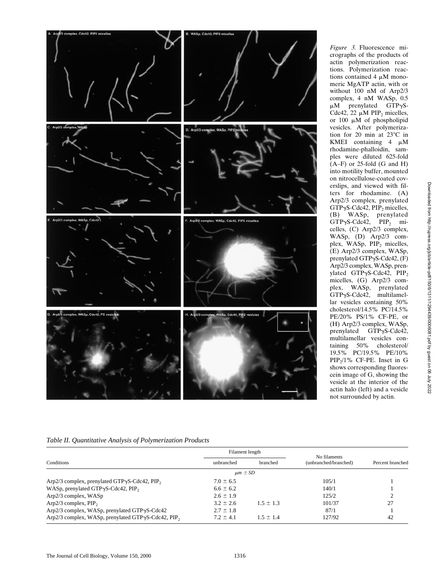

*Figure 3.* Fluorescence micrographs of the products of actin polymerization reactions. Polymerization reactions contained 4  $\mu$ M monomeric MgATP actin, with or without 100 nM of Arp2/3 complex, 4 nM WASp, 0.5  $\mu$ M prenylated GTP $\gamma$ S-Cdc42, 22  $\mu$ M PIP<sub>2</sub> micelles, or  $100 \mu M$  of phospholipid vesicles. After polymerization for 20 min at  $23^{\circ}$ C in KMEI containing  $4 \mu M$ rhodamine-phalloidin, samples were diluted 625-fold  $(A-F)$  or 25-fold (G and H) into motility buffer, mounted on nitrocellulose-coated coverslips, and viewed with filters for rhodamine. (A) Arp2/3 complex, prenylated  $GTP\gamma S- Cdc42$ ,  $PIP_2$  micelles, (B) WASp, prenylated  $GTP\gamma S- Cdc42$ ,  $PIP_2$  micelles, (C) Arp2/3 complex, WASp, (D) Arp2/3 complex, WASp, PIP<sub>2</sub> micelles, (E) Arp2/3 complex, WASp, prenylated GTP $\gamma$ S-Cdc42, (F) Arp2/3 complex, WASp, prenylated GTPyS-Cdc42, PIP<sub>2</sub> micelles, (G) Arp2/3 complex, WASp, prenylated GTPgS-Cdc42, multilamellar vesicles containing 50% cholesterol/14.5% PC/14.5% PE/20% PS/1% CF-PE, or (H) Arp2/3 complex, WASp, prenylated GTPyS-Cdc42, multilamellar vesicles containing 50% cholesterol/ 19.5% PC/19.5% PE/10% PIP2/1% CF-PE. Inset in G shows corresponding fluorescein image of G, showing the vesicle at the interior of the actin halo (left) and a vesicle not surrounded by actin.

### *Table II. Quantitative Analysis of Polymerization Products*

| Conditions                                                     | Filament length |               | No filaments          |                  |
|----------------------------------------------------------------|-----------------|---------------|-----------------------|------------------|
|                                                                | unbranched      | branched      | (unbranched/branched) | Percent branched |
|                                                                | $\mu m \pm SD$  |               |                       |                  |
| $Arp2/3$ complex, prenylated GTP $\gamma$ S-Cdc42, PIP,        | $7.0 \pm 6.5$   |               | 105/1                 |                  |
| WASp, prenylated GTP $\gamma$ S-Cdc42, PIP,                    | $6.6 \pm 6.2$   |               | 140/1                 |                  |
| $Arp2/3$ complex, $WASp$                                       | $2.6 \pm 1.9$   |               | 125/2                 |                  |
| $Arp2/3$ complex, $PIP_2$                                      | $3.2 \pm 2.6$   | $1.5 + 1.3$   | 101/37                | 27               |
| Arp2/3 complex, WASp, prenylated GTPγS-Cdc42                   | $2.7 \pm 1.8$   |               | 87/1                  |                  |
| Arp2/3 complex, WASp, prenylated GTPγS-Cdc42, PIP <sub>2</sub> | $7.2 \pm 4.1$   | $1.5 \pm 1.4$ | 127/92                | 42               |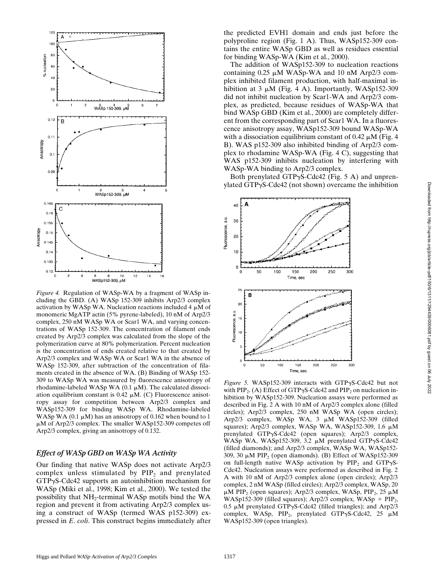

*Figure 4.* Regulation of WASp-WA by a fragment of WASp including the GBD. (A) WASp 152-309 inhibits Arp2/3 complex activation by WASp WA. Nucleation reactions included 4  $\mu$ M of monomeric MgATP actin (5% pyrene-labeled), 10 nM of Arp2/3 complex, 250 nM WASp WA or Scar1 WA, and varying concentrations of WASp 152-309. The concentration of filament ends created by Arp2/3 complex was calculated from the slope of the polymerization curve at 80% polymerization. Percent nucleation is the concentration of ends created relative to that created by Arp2/3 complex and WASp WA or Scar1 WA in the absence of WASp 152-309, after subtraction of the concentration of filaments created in the absence of WA. (B) Binding of WASp 152- 309 to WASp WA was measured by fluorescence anisotropy of rhodamine-labeled WASp WA (0.1  $\mu$ M). The calculated dissociation equilibrium constant is 0.42  $\mu$ M. (C) Fluorescence anisotropy assay for competition between Arp2/3 complex and WASp152-309 for binding WASp WA. Rhodamine-labeled WASp WA (0.1  $\mu$ M) has an anisotropy of 0.162 when bound to 1  $\mu$ M of Arp2/3 complex. The smaller WASp152-309 competes off Arp2/3 complex, giving an anisotropy of 0.132.

#### *Effect of WASp GBD on WASp WA Activity*

Our finding that native WASp does not activate Arp2/3 complex unless stimulated by  $PIP<sub>2</sub>$  and prenylated  $GTP\gamma S- Cdc42$  supports an autoinhibition mechanism for WASp (Miki et al., 1998; Kim et al., 2000). We tested the possibility that NH2-terminal WASp motifs bind the WA region and prevent it from activating Arp2/3 complex using a construct of WASp (termed WAS p152-309) expressed in *E*. *coli*. This construct begins immediately after the predicted EVH1 domain and ends just before the polyproline region (Fig. 1 A). Thus, WASp152-309 contains the entire WASp GBD as well as residues essential for binding WASp-WA (Kim et al., 2000).

The addition of WASp152-309 to nucleation reactions containing  $0.25 \mu M$  WASp-WA and 10 nM Arp2/3 complex inhibited filament production, with half-maximal inhibition at 3  $\mu$ M (Fig. 4 A). Importantly, WASp152-309 did not inhibit nucleation by Scar1-WA and Arp2/3 complex, as predicted, because residues of WASp-WA that bind WASp GBD (Kim et al., 2000) are completely different from the corresponding part of Scar1 WA. In a fluorescence anisotropy assay, WASp152-309 bound WASp-WA with a dissociation equilibrium constant of 0.42  $\mu$ M (Fig. 4) B). WAS p152-309 also inhibited binding of Arp2/3 complex to rhodamine WASp-WA (Fig. 4 C), suggesting that WAS p152-309 inhibits nucleation by interfering with WASp-WA binding to Arp2/3 complex.

Both prenylated GTP $\gamma$ S-Cdc42 (Fig. 5 A) and unprenylated GTP $\gamma$ S-Cdc42 (not shown) overcame the inhibition



Downloaded from http://rupress.org/jcb/article-pdf/150/6/1311/1294439/0006081.pdf by guest on 06 July 2022 Downloaded from http://rupress.org/jcb/article-pdf/150/6/1311/1294439/0006081.pdf by guest on 06 July 2022

*Figure 5.* WASp152-309 interacts with GTPγS-Cdc42 but not with PIP<sub>2</sub>. (A) Effect of GTP $\gamma$ S-Cdc42 and PIP<sub>2</sub> on nucleation inhibition by WASp152-309. Nucleation assays were performed as described in Fig. 2 A with 10 nM of Arp2/3 complex alone (filled circles); Arp2/3 complex, 250 nM WASp WA (open circles); Arp2/3 complex, WASp WA, 3  $\mu$ M WASp152-309 (filled squares); Arp2/3 complex, WASp WA, WASp152-309, 1.6  $\mu$ M prenylated GTPgS-Cdc42 (open squares); Arp2/3 complex, WASp WA, WASp152-309, 3.2 µM prenylated GTPyS-Cdc42 (filled diamonds); and Arp2/3 complex, WASp WA, WASp152- 309, 30  $\mu$ M PIP<sub>2</sub> (open diamonds). (B) Effect of WASp152-309 on full-length native WASp activation by  $PIP_2$  and  $GTP_2S$ -Cdc42. Nucleation assays were performed as described in Fig. 2 A with 10 nM of Arp2/3 complex alone (open circles); Arp2/3 complex, 2 nM WASp (filled circles); Arp2/3 complex, WASp, 20  $\mu$ M PIP<sub>2</sub> (open squares); Arp2/3 complex, WASp, PIP<sub>2</sub>, 25  $\mu$ M WASp152-309 (filled squares); Arp2/3 complex, WASp +  $PIP_2$ , 0.5  $\mu$ M prenylated GTP $\gamma$ S-Cdc42 (filled triangles); and Arp2/3 complex, WASp,  $PIP_2$ , prenylated GTP $\gamma$ S-Cdc42, 25  $\mu$ M WASp152-309 (open triangles).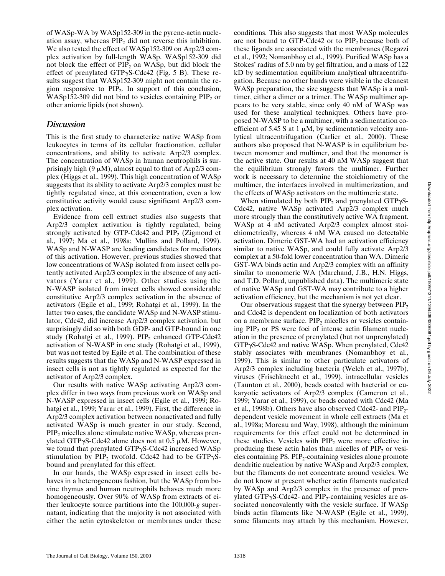of WASp-WA by WASp152-309 in the pyrene-actin nucleation assay, whereas  $\text{PIP}_2$  did not reverse this inhibition. We also tested the effect of WASp152-309 on Arp2/3 complex activation by full-length WASp. WASp152-309 did not block the effect of  $PIP_2$  on WASp, but did block the effect of prenylated GTP $\gamma$ S-Cdc42 (Fig. 5 B). These results suggest that WASp152-309 might not contain the region responsive to  $\text{PIP}_2$ . In support of this conclusion, WASp152-309 did not bind to vesicles containing  $PIP<sub>2</sub>$  or other anionic lipids (not shown).

# *Discussion*

This is the first study to characterize native WASp from leukocytes in terms of its cellular fractionation, cellular concentrations, and ability to activate Arp2/3 complex. The concentration of WASp in human neutrophils is surprisingly high (9  $\mu$ M), almost equal to that of Arp2/3 complex (Higgs et al., 1999). This high concentration of WASp suggests that its ability to activate Arp2/3 complex must be tightly regulated since, at this concentration, even a low constitutive activity would cause significant Arp2/3 complex activation.

Evidence from cell extract studies also suggests that Arp2/3 complex activation is tightly regulated, being strongly activated by GTP-Cdc42 and  $PIP<sub>2</sub>$  (Zigmond et al., 1997; Ma et al., 1998a; Mullins and Pollard, 1999). WASp and N-WASP are leading candidates for mediators of this activation. However, previous studies showed that low concentrations of WASp isolated from insect cells potently activated Arp2/3 complex in the absence of any activators (Yarar et al., 1999). Other studies using the N-WASP isolated from insect cells showed considerable constitutive Arp2/3 complex activation in the absence of activators (Egile et al., 1999; Rohatgi et al., 1999). In the latter two cases, the candidate WASp and N-WASP stimulator, Cdc42, did increase Arp2/3 complex activation, but surprisingly did so with both GDP- and GTP-bound in one study (Rohatgi et al., 1999). PIP<sub>2</sub> enhanced GTP-Cdc42 activation of N-WASP in one study (Rohatgi et al., 1999), but was not tested by Egile et al. The combination of these results suggests that the WASp and N-WASP expressed in insect cells is not as tightly regulated as expected for the activator of Arp2/3 complex.

Our results with native WASp activating Arp2/3 complex differ in two ways from previous work on WASp and N-WASP expressed in insect cells (Egile et al., 1999; Rohatgi et al., 1999; Yarar et al., 1999). First, the difference in Arp2/3 complex activation between nonactivated and fully activated WASp is much greater in our study. Second, PIP<sub>2</sub> micelles alone stimulate native WASp, whereas prenylated GTP $\gamma$ S-Cdc42 alone does not at 0.5  $\mu$ M. However, we found that prenylated  $GTP\gamma S\text{-}Cdc42$  increased WASp stimulation by PIP<sub>2</sub> twofold. Cdc42 had to be  $GTP\gamma S$ bound and prenylated for this effect.

In our hands, the WASp expressed in insect cells behaves in a heterogeneous fashion, but the WASp from bovine thymus and human neutrophils behaves much more homogeneously. Over 90% of WASp from extracts of either leukocyte source partitions into the 100,000*-g* supernatant, indicating that the majority is not associated with either the actin cytoskeleton or membranes under these

conditions. This also suggests that most WASp molecules are not bound to GTP-Cdc42 or to  $\text{PIP}_2$  because both of these ligands are associated with the membranes (Regazzi et al., 1992; Nomanbhoy et al., 1999). Purified WASp has a Stokes' radius of 5.0 nm by gel filtration, and a mass of 122 kD by sedimentation equilibrium analytical ultracentrifugation. Because no other bands were visible in the cleanest WASp preparation, the size suggests that WASp is a multimer, either a dimer or a trimer. The WASp multimer appears to be very stable, since only 40 nM of WASp was used for these analytical techniques. Others have proposed N-WASP to be a multimer, with a sedimentation coefficient of 5.45 S at 1  $\mu$ M, by sedimentation velocity analytical ultracentrifugation (Carlier et al., 2000). These authors also proposed that N-WASP is in equilibrium between monomer and multimer, and that the monomer is the active state. Our results at 40 nM WASp suggest that the equilibrium strongly favors the multimer. Further work is necessary to determine the stoichiometry of the multimer, the interfaces involved in multimerization, and the effects of WASp activators on the multimeric state.

When stimulated by both  $PIP_2$  and prenylated GTP $\gamma$ S-Cdc42, native WASp activated Arp2/3 complex much more strongly than the constitutively active WA fragment. WASp at 4 nM activated Arp2/3 complex almost stoichiometrically, whereas 4 nM WA caused no detectable activation. Dimeric GST-WA had an activation efficiency similar to native WASp, and could fully activate Arp2/3 complex at a 50-fold lower concentration than WA. Dimeric GST-WA binds actin and Arp2/3 complex with an affinity similar to monomeric WA (Marchand, J.B., H.N. Higgs, and T.D. Pollard, unpublished data). The multimeric state of native WASp and GST-WA may contribute to a higher activation efficiency, but the mechanism is not yet clear.

Our observations suggest that the synergy between  $PIP<sub>2</sub>$ and Cdc42 is dependent on localization of both activators on a membrane surface.  $PIP<sub>2</sub>$  micelles or vesicles containing  $PIP<sub>2</sub>$  or PS were foci of intense actin filament nucleation in the presence of prenylated (but not unprenylated)  $GTP\gamma S\text{-}Cdc42$  and native WASp. When prenylated, Cdc42 stably associates with membranes (Nomanbhoy et al., 1999). This is similar to other particulate activators of Arp2/3 complex including bacteria (Welch et al., 1997b), viruses (Frischknecht et al., 1999), intracellular vesicles (Taunton et al., 2000), beads coated with bacterial or eukaryotic activators of Arp2/3 complex (Cameron et al., 1999; Yarar et al., 1999), or beads coated with Cdc42 (Ma et al., 1998b). Others have also observed Cdc42- and PIP<sub>2</sub>dependent vesicle movement in whole cell extracts (Ma et al., 1998a; Moreau and Way, 1998), although the minimum requirements for this effect could not be determined in these studies. Vesicles with  $\text{PIP}_2$  were more effective in producing these actin halos than micelles of  $PIP<sub>2</sub>$  or vesicles containing PS.  $PIP<sub>2</sub>$ -containing vesicles alone promote dendritic nucleation by native WASp and Arp2/3 complex, but the filaments do not concentrate around vesicles. We do not know at present whether actin filaments nucleated by WASp and Arp2/3 complex in the presence of prenylated GTP $\gamma$ S-Cdc42- and PIP<sub>2</sub>-containing vesicles are associated noncovalently with the vesicle surface. If WASp binds actin filaments like N-WASP (Egile et al., 1999), some filaments may attach by this mechanism. However,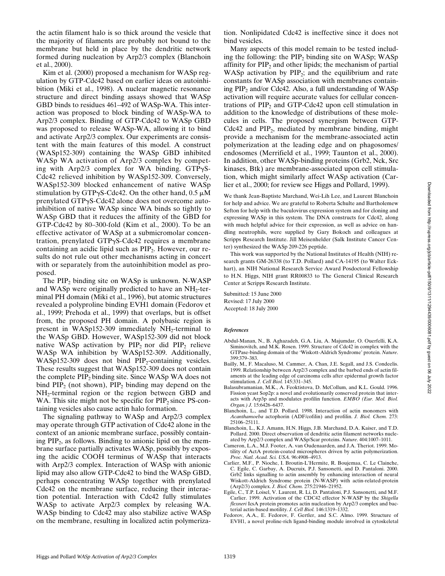the actin filament halo is so thick around the vesicle that the majority of filaments are probably not bound to the membrane but held in place by the dendritic network formed during nucleation by Arp2/3 complex (Blanchoin et al., 2000).

Kim et al. (2000) proposed a mechanism for WASp regulation by GTP-Cdc42 based on earlier ideas on autoinhibition (Miki et al., 1998). A nuclear magnetic resonance structure and direct binding assays showed that WASp GBD binds to residues 461–492 of WASp-WA. This interaction was proposed to block binding of WASp-WA to Arp2/3 complex. Binding of GTP-Cdc42 to WASp GBD was proposed to release WASp-WA, allowing it to bind and activate Arp2/3 complex. Our experiments are consistent with the main features of this model. A construct (WASp152-309) containing the WASp GBD inhibited WASp WA activation of Arp2/3 complex by competing with Arp2/3 complex for WA binding.  $GTP\gamma S$ -Cdc42 relieved inhibition by WASp152-309. Conversely, WASp152-309 blocked enhancement of native WASp stimulation by GTP $\gamma$ S-Cdc42. On the other hand, 0.5  $\mu$ M prenylated GTPgS-Cdc42 alone does not overcome autoinhibition of native WASp since WA binds so tightly to WASp GBD that it reduces the affinity of the GBD for GTP-Cdc42 by 80–300-fold (Kim et al., 2000). To be an effective activator of WASp at a submicromolar concentration, prenylated GTP $\gamma$ S-Cdc42 requires a membrane containing an acidic lipid such as  $PIP<sub>2</sub>$ . However, our results do not rule out other mechanisms acting in concert with or separately from the autoinhibition model as proposed.

The  $PIP_2$  binding site on WASp is unknown. N-WASP and WASp were originally predicted to have an  $NH<sub>2</sub>$ -terminal PH domain (Miki et al., 1996), but atomic structures revealed a polyproline binding EVH1 domain (Fedorov et al., 1999; Prehoda et al., 1999) that overlaps, but is offset from, the proposed PH domain. A polybasic region is present in WASp152-309 immediately  $NH<sub>2</sub>$ -terminal to the WASp GBD. However, WASp152-309 did not block native WASp activation by  $PIP_2$  nor did  $PIP_2$  relieve WASp WA inhibition by WASp152-309. Additionally,  $WASp152-309$  does not bind  $PIP<sub>2</sub>$ -containing vesicles. These results suggest that WASp152-309 does not contain the complete PIP<sub>2</sub> binding site. Since WASp WA does not bind  $PIP<sub>2</sub>$  (not shown),  $PIP<sub>2</sub>$  binding may depend on the NH<sub>2</sub>-terminal region or the region between GBD and WA. This site might not be specific for  $PIP<sub>2</sub>$  since PS-containing vesicles also cause actin halo formation.

The signaling pathway to WASp and Arp2/3 complex may operate through GTP activation of Cdc42 alone in the context of an anionic membrane surface, possibly containing PIP<sub>2</sub>, as follows. Binding to anionic lipid on the membrane surface partially activates WASp, possibly by exposing the acidic COOH terminus of WASp that interacts with Arp2/3 complex. Interaction of WASp with anionic lipid may also allow GTP-Cdc42 to bind the WASp GBD, perhaps concentrating WASp together with prenylated Cdc42 on the membrane surface, reducing their interaction potential. Interaction with Cdc42 fully stimulates WASp to activate Arp2/3 complex by releasing WA. WASp binding to Cdc42 may also stabilize active WASp on the membrane, resulting in localized actin polymeriza-

tion. Nonlipidated Cdc42 is ineffective since it does not bind vesicles.

Many aspects of this model remain to be tested including the following: the  $PIP<sub>2</sub>$  binding site on WASp; WASp affinity for  $PIP<sub>2</sub>$  and other lipids; the mechanism of partial WASp activation by  $PIP_2$ ; and the equilibrium and rate constants for WASp association with membranes containing  $PIP_2$  and/or Cdc42. Also, a full understanding of WASp activation will require accurate values for cellular concentrations of  $PIP<sub>2</sub>$  and GTP-Cdc42 upon cell stimulation in addition to the knowledge of distributions of these molecules in cells. The proposed synergism between GTP-Cdc42 and  $PIP<sub>2</sub>$ , mediated by membrane binding, might provide a mechanism for the membrane-associated actin polymerization at the leading edge and on phagosomes/ endosomes (Merrifield et al., 1999; Taunton et al., 2000). In addition, other WASp-binding proteins (Grb2, Nck, Src kinases, Btk) are membrane-associated upon cell stimulation, which might similarly affect WASp activation (Carlier et al., 2000; for review see Higgs and Pollard, 1999).

We thank Jean-Baptiste Marchand, Wei-Lih Lee, and Laurent Blanchoin for help and advice. We are grateful to Roberta Schulte and Bartholemew Sefton for help with the baculovirus expression system and for cloning and expressing WASp in this system. The DNA constructs for Cdc42, along with much helpful advice for their expression, as well as advice on handling neutrophils, were supplied by Gary Bokoch and colleagues at Scripps Research Institute. Jill Meisenhelder (Salk Institute Cancer Center) synthesized the WASp 209-226 peptide.

This work was supported by the National Institutes of Health (NIH) research grants GM-26338 (to T.D. Pollard) and CA-14195 (to Walter Eckhart), an NIH National Research Service Award Posdoctoral Fellowship to H.N. Higgs, NIH grant RR00833 to The General Clinical Research Center at Scripps Research Institute.

Submitted: 15 June 2000 Revised: 17 July 2000 Accepted: 18 July 2000

#### *References*

- Abdul-Manan, N., B. Aghazadeh, G.A. Liu, A. Majumdar, O. Ouerfelli, K.A. Siminovitch, and M.K. Rosen. 1999. Structure of Cdc42 in complex with the GTPase-binding domain of the 'Wiskott-Aldrich Syndrome' protein. *Nature*. 399:379–383.
- Bailly, M., F. Macaluso, M. Cammer, A. Chan, J.E. Segall, and J.S. Condeelis. 1999. Relationship between Arp2/3 complex and the barbed ends of actin filaments at the leading edge of carcinoma cells after epidermal growth factor stimulation. *J. Cell Biol.* 145:331–345.
- Balasubramanian, M.K., A. Feoktistova, D. McCollum, and K.L. Gould. 1996. Fission yeast Sop2p: a novel and evolutionarily conserved protein that interacts with Arp3p and modulates profilin function. *EMBO (Eur. Mol. Biol. Organ.) J.* 15:6426–6437.
- Blanchoin, L., and T.D. Pollard. 1998. Interaction of actin monomers with *Acanthamoeba* actophorin (ADF/cofilin) and profilin. *J. Biol. Chem.* 273: 25106–25111.
- Blanchoin, L., K.J. Amann, H.N. Higgs, J.B. Marchand, D.A. Kaiser, and T.D. Pollard. 2000. Direct observation of dendritic actin filament networks nucleated by Arp2/3 complex and WASp/Scar proteins. *Nature*. 404:1007–1011.
- Cameron, L.A., M.J. Footer, A. van Oudenaarden, and J.A. Theriot. 1999. Motility of ActA protein-coated microspheres driven by actin polymerization. *Proc. Natl. Acad. Sci. USA*. 96:4908–4913.
- Carlier, M.F., P. Nioche, I. Broutin-L'Hermite, R. Boujemaa, C. Le Clainche, C. Egile, C. Garbay, A. Ducruix, P.J. Sansonetti, and D. Pantaloni. 2000. Grb2 links signalling to actin assembly by enhancing interaction of neural Wiskott-Aldrich Syndrome protein (N-WASP) with actin-related-protein (Arp2/3) complex. *J. Biol. Chem.* 275:21946–21952.
- Egile, C., T.P. Loisel, V. Laurent, R. Li, D. Pantaloni, P.J. Sansonetti, and M.F. Carlier. 1999. Activation of the CDC42 effector N-WASP by the *Shigella flexneri* IcsA protein promotes actin nucleation by Arp2/3 complex and bacterial actin-based motility. *J. Cell Biol.* 146:1319–1332.
- Fedorov, A.A., E. Fedorov, F. Gertler, and S.C. Almo. 1999. Structure of EVH1, a novel proline-rich ligand-binding module involved in cytoskeletal